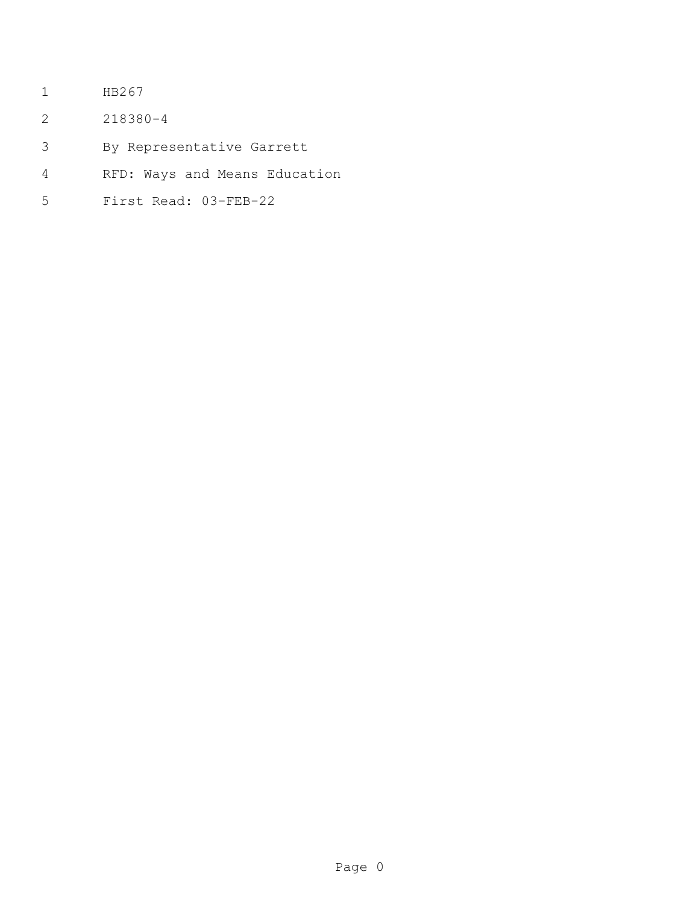- HB267
- 218380-4
- By Representative Garrett
- RFD: Ways and Means Education
- First Read: 03-FEB-22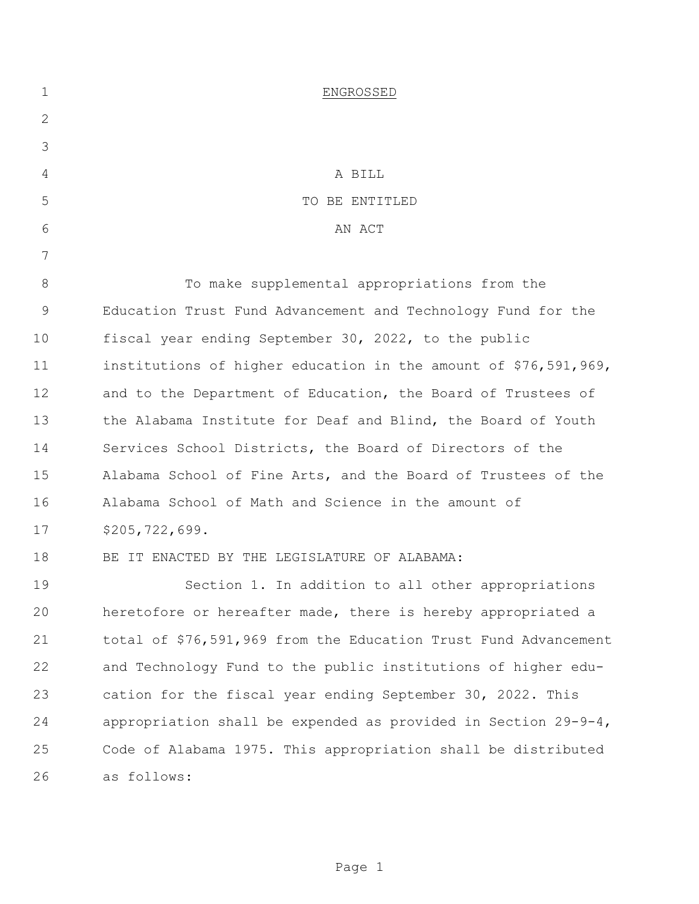| $\mathbf 1$ | ENGROSSED                                                         |
|-------------|-------------------------------------------------------------------|
| 2           |                                                                   |
| 3           |                                                                   |
| 4           | A BILL                                                            |
| 5           | TO BE ENTITLED                                                    |
| 6           | AN ACT                                                            |
| 7           |                                                                   |
| $8\,$       | To make supplemental appropriations from the                      |
| $\mathsf 9$ | Education Trust Fund Advancement and Technology Fund for the      |
| 10          | fiscal year ending September 30, 2022, to the public              |
| 11          | institutions of higher education in the amount of \$76,591,969,   |
| 12          | and to the Department of Education, the Board of Trustees of      |
| 13          | the Alabama Institute for Deaf and Blind, the Board of Youth      |
| 14          | Services School Districts, the Board of Directors of the          |
| 15          | Alabama School of Fine Arts, and the Board of Trustees of the     |
| 16          | Alabama School of Math and Science in the amount of               |
| 17          | \$205, 722, 699.                                                  |
| 18          | BE IT ENACTED BY THE LEGISLATURE OF ALABAMA:                      |
| 19          | Section 1. In addition to all other appropriations                |
| 20          | heretofore or hereafter made, there is hereby appropriated a      |
| 21          | total of \$76,591,969 from the Education Trust Fund Advancement   |
| 22          | and Technology Fund to the public institutions of higher edu-     |
| 23          | cation for the fiscal year ending September 30, 2022. This        |
| 24          | appropriation shall be expended as provided in Section $29-9-4$ , |
| 25          | Code of Alabama 1975. This appropriation shall be distributed     |
| 26          | as follows:                                                       |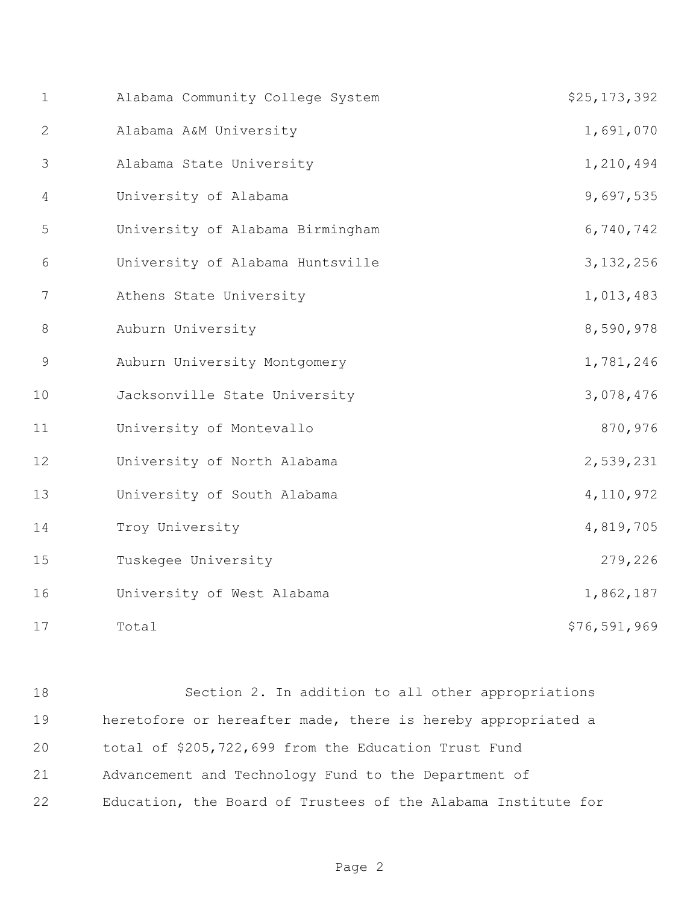| $\mathbf 1$    | Alabama Community College System | \$25,173,392   |
|----------------|----------------------------------|----------------|
| 2              | Alabama A&M University           | 1,691,070      |
| 3              | Alabama State University         | 1,210,494      |
| $\overline{4}$ | University of Alabama            | 9,697,535      |
| 5              | University of Alabama Birmingham | 6,740,742      |
| 6              | University of Alabama Huntsville | 3, 132, 256    |
| 7              | Athens State University          | 1,013,483      |
| 8              | Auburn University                | 8,590,978      |
| $\overline{9}$ | Auburn University Montgomery     | 1,781,246      |
| 10             | Jacksonville State University    | 3,078,476      |
| 11             | University of Montevallo         | 870,976        |
| 12             | University of North Alabama      | 2,539,231      |
| 13             | University of South Alabama      | 4, 110, 972    |
| 14             | Troy University                  | 4,819,705      |
| 15             | Tuskegee University              | 279,226        |
| 16             | University of West Alabama       | 1,862,187      |
| 17             | Total                            | \$76, 591, 969 |

 Section 2. In addition to all other appropriations heretofore or hereafter made, there is hereby appropriated a total of \$205,722,699 from the Education Trust Fund Advancement and Technology Fund to the Department of Education, the Board of Trustees of the Alabama Institute for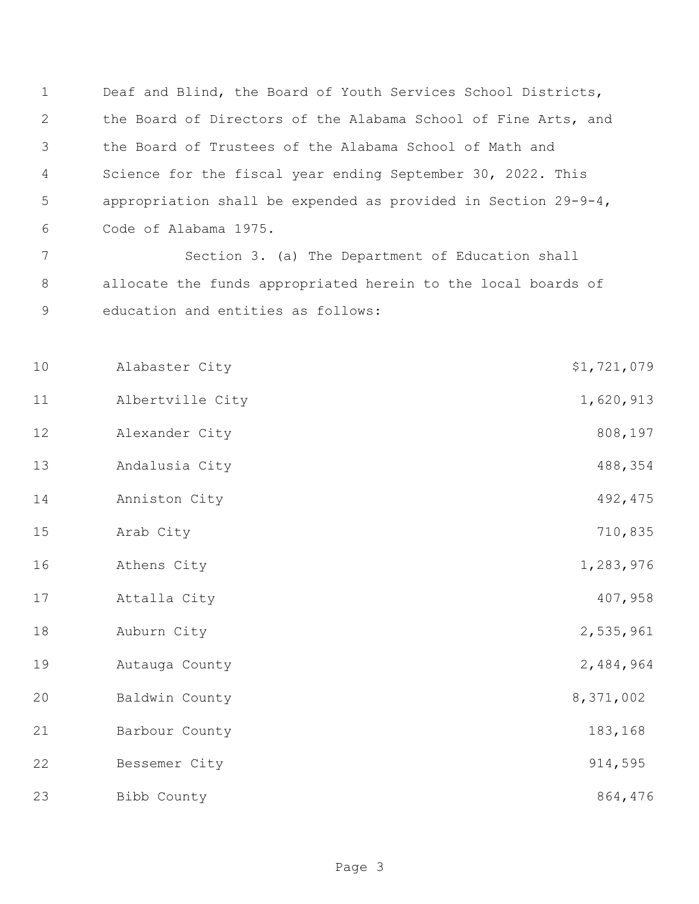Deaf and Blind, the Board of Youth Services School Districts, the Board of Directors of the Alabama School of Fine Arts, and the Board of Trustees of the Alabama School of Math and Science for the fiscal year ending September 30, 2022. This appropriation shall be expended as provided in Section 29-9-4, Code of Alabama 1975.

7 Section 3. (a) The Department of Education shall 8 allocate the funds appropriated herein to the local boards of 9 education and entities as follows:

11 Albertville City 1,620,913 12 Alexander City 808,197

14 Anniston City 492,475 15 Arab City **710,835** 

13 Andalusia City 488,354

10 Alabaster City \$1,721,079

16 Athens City 1,283,976

17 Attalla City 407,958

18 Auburn City 2,535,961

19 Autauga County 2,484,964 20 Baldwin County 8,371,002

21 Barbour County 183,168

22 Bessemer City 914,595

23 Bibb County **Biggs and County County** 864,476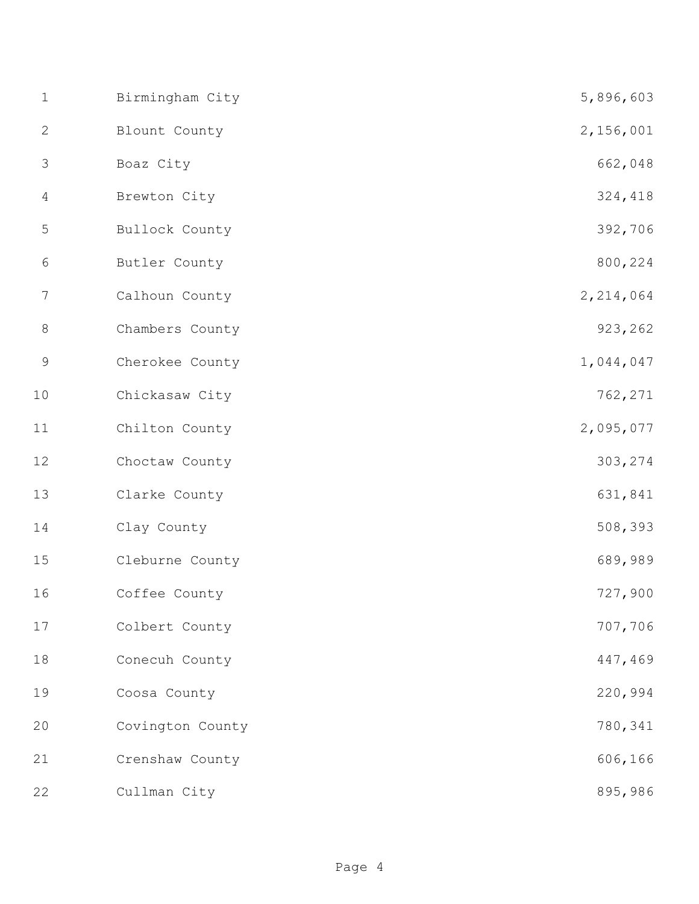| $\mathbf 1$    | Birmingham City  | 5,896,603   |
|----------------|------------------|-------------|
| $\mathbf{2}$   | Blount County    | 2,156,001   |
| $\mathfrak{Z}$ | Boaz City        | 662,048     |
| $\overline{4}$ | Brewton City     | 324,418     |
| 5              | Bullock County   | 392,706     |
| $\sqrt{6}$     | Butler County    | 800,224     |
| 7              | Calhoun County   | 2, 214, 064 |
| $8\,$          | Chambers County  | 923,262     |
| $\mathcal{G}$  | Cherokee County  | 1,044,047   |
| 10             | Chickasaw City   | 762,271     |
| 11             | Chilton County   | 2,095,077   |
| 12             | Choctaw County   | 303,274     |
| 13             | Clarke County    | 631,841     |
| 14             | Clay County      | 508,393     |
| 15             | Cleburne County  | 689,989     |
| 16             | Coffee County    | 727,900     |
| 17             | Colbert County   | 707,706     |
| 18             | Conecuh County   | 447,469     |
| 19             | Coosa County     | 220,994     |
| 20             | Covington County | 780,341     |
| 21             | Crenshaw County  | 606,166     |
| 22             | Cullman City     | 895,986     |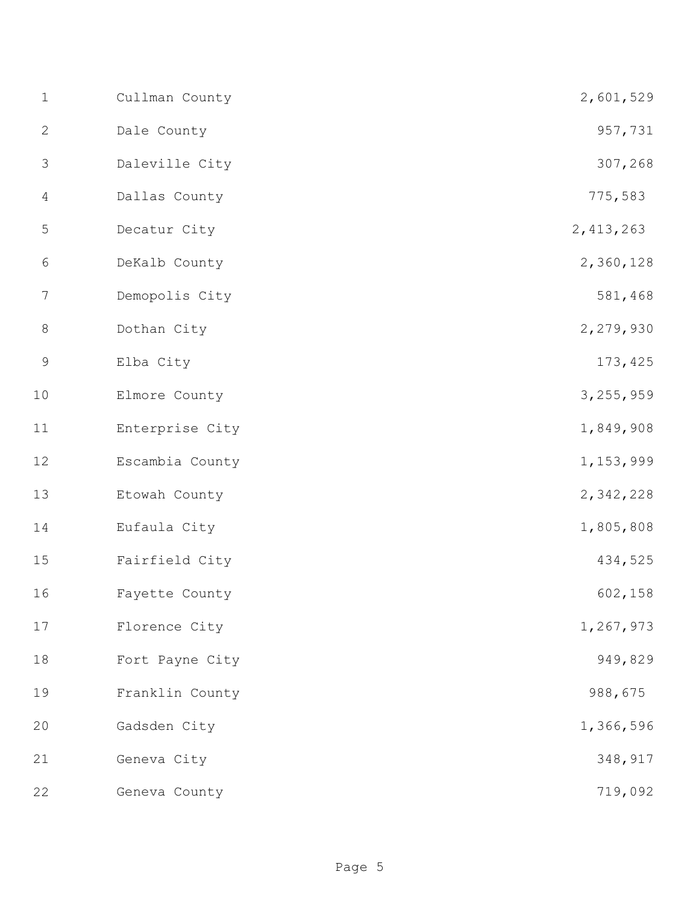| $1\,$          | Cullman County  | 2,601,529   |
|----------------|-----------------|-------------|
| $\mathbf{2}$   | Dale County     | 957,731     |
| 3              | Daleville City  | 307,268     |
| 4              | Dallas County   | 775,583     |
| $\mathsf S$    | Decatur City    | 2, 413, 263 |
| $6\,$          | DeKalb County   | 2,360,128   |
| $\overline{7}$ | Demopolis City  | 581,468     |
| $8\,$          | Dothan City     | 2,279,930   |
| $\mathsf 9$    | Elba City       | 173,425     |
| 10             | Elmore County   | 3, 255, 959 |
| 11             | Enterprise City | 1,849,908   |
| 12             | Escambia County | 1, 153, 999 |
| 13             | Etowah County   | 2,342,228   |
| 14             | Eufaula City    | 1,805,808   |
| 15             | Fairfield City  | 434,525     |
| 16             | Fayette County  | 602, 158    |
| 17             | Florence City   | 1,267,973   |
| 18             | Fort Payne City | 949,829     |
| 19             | Franklin County | 988,675     |
| 20             | Gadsden City    | 1,366,596   |
| 21             | Geneva City     | 348,917     |
| 22             | Geneva County   | 719,092     |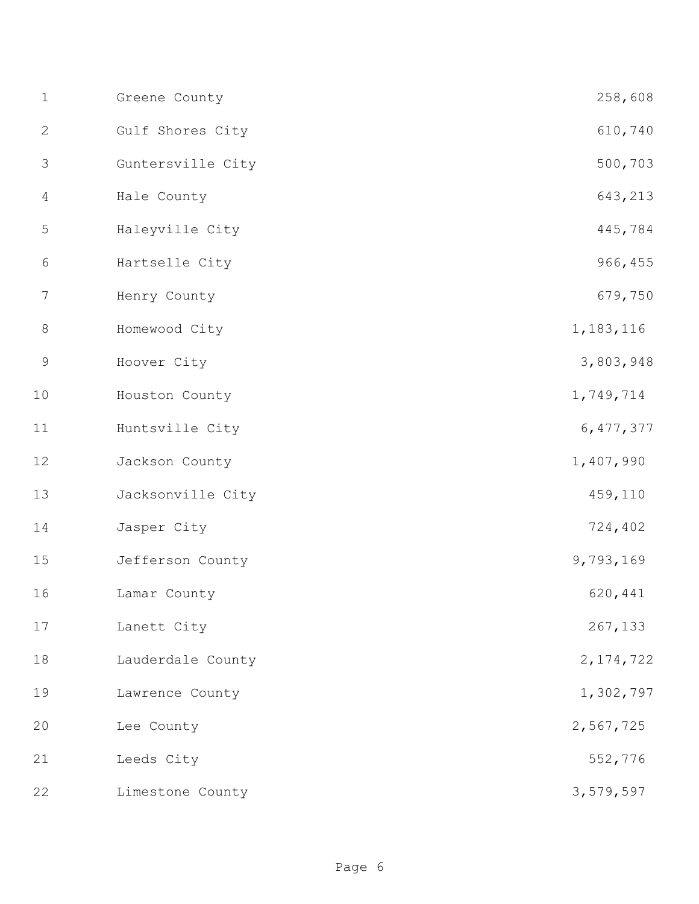| $1\,$        | Greene County     | 258,608     |
|--------------|-------------------|-------------|
| $\mathbf{2}$ | Gulf Shores City  | 610,740     |
| 3            | Guntersville City | 500,703     |
| 4            | Hale County       | 643,213     |
| 5            | Haleyville City   | 445,784     |
| $\sqrt{6}$   | Hartselle City    | 966,455     |
| 7            | Henry County      | 679,750     |
| $8\,$        | Homewood City     | 1, 183, 116 |
| $\mathsf 9$  | Hoover City       | 3,803,948   |
| 10           | Houston County    | 1,749,714   |
| 11           | Huntsville City   | 6, 477, 377 |
| 12           | Jackson County    | 1,407,990   |
| 13           | Jacksonville City | 459,110     |
| 14           | Jasper City       | 724,402     |
| 15           | Jefferson County  | 9,793,169   |
| 16           | Lamar County      | 620,441     |
| 17           | Lanett City       | 267,133     |
| 18           | Lauderdale County | 2, 174, 722 |
| 19           | Lawrence County   | 1,302,797   |
| 20           | Lee County        | 2,567,725   |
| 21           | Leeds City        | 552,776     |
| 22           | Limestone County  | 3,579,597   |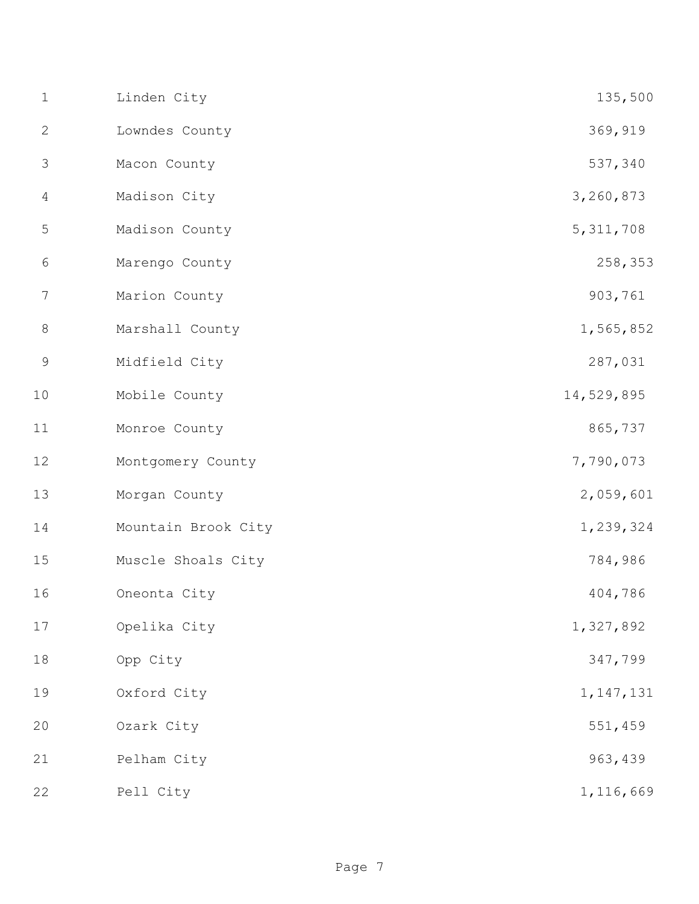| $1\,$          | Linden City         | 135,500     |
|----------------|---------------------|-------------|
| $\mathbf{2}$   | Lowndes County      | 369,919     |
| 3              | Macon County        | 537,340     |
| $\overline{4}$ | Madison City        | 3,260,873   |
| 5              | Madison County      | 5, 311, 708 |
| $\sqrt{6}$     | Marengo County      | 258,353     |
| 7              | Marion County       | 903,761     |
| $\,8\,$        | Marshall County     | 1,565,852   |
| $\mathsf 9$    | Midfield City       | 287,031     |
| 10             | Mobile County       | 14,529,895  |
| 11             | Monroe County       | 865,737     |
| 12             | Montgomery County   | 7,790,073   |
| 13             | Morgan County       | 2,059,601   |
| 14             | Mountain Brook City | 1,239,324   |
| 15             | Muscle Shoals City  | 784,986     |
| 16             | Oneonta City        | 404,786     |
| $17\,$         | Opelika City        | 1,327,892   |
| $1\,8$         | Opp City            | 347,799     |
| 19             | Oxford City         | 1, 147, 131 |
| 20             | Ozark City          | 551,459     |
| 21             | Pelham City         | 963,439     |
| 22             | Pell City           | 1,116,669   |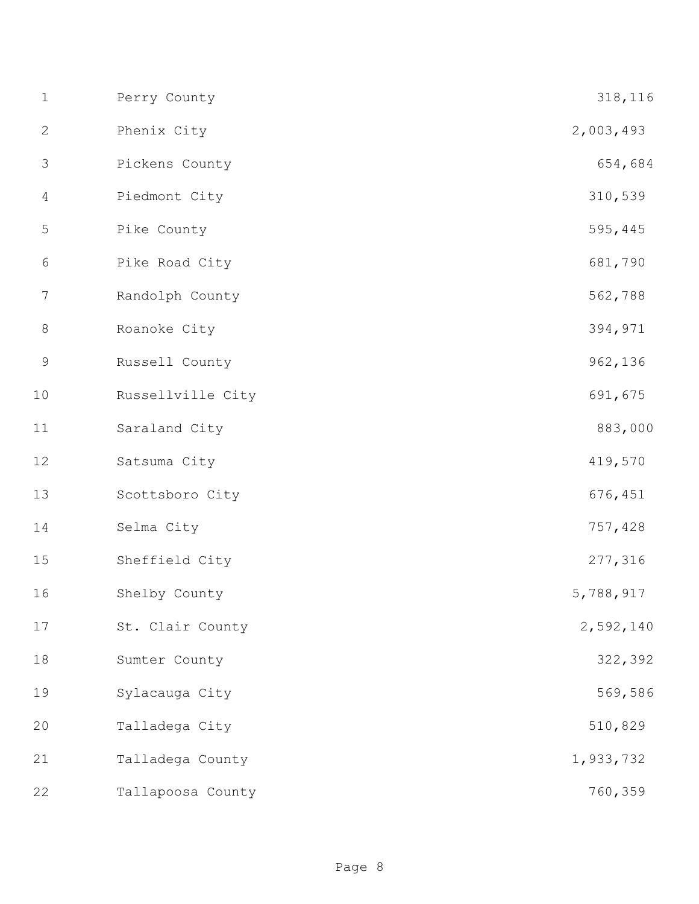| $1\,$          | Perry County      | 318,116   |
|----------------|-------------------|-----------|
| $\mathbf{2}$   | Phenix City       | 2,003,493 |
| 3              | Pickens County    | 654,684   |
| $\overline{4}$ | Piedmont City     | 310,539   |
| $\mathsf S$    | Pike County       | 595,445   |
| 6              | Pike Road City    | 681,790   |
| 7              | Randolph County   | 562,788   |
| $\,8\,$        | Roanoke City      | 394,971   |
| $\mathsf 9$    | Russell County    | 962,136   |
| $10$           | Russellville City | 691,675   |
| $11\,$         | Saraland City     | 883,000   |
| 12             | Satsuma City      | 419,570   |
| 13             | Scottsboro City   | 676,451   |
| 14             | Selma City        | 757,428   |
| 15             | Sheffield City    | 277,316   |
| 16             | Shelby County     | 5,788,917 |
| $17$           | St. Clair County  | 2,592,140 |
| 18             | Sumter County     | 322,392   |
| 19             | Sylacauga City    | 569,586   |
| 20             | Talladega City    | 510,829   |
| 21             | Talladega County  | 1,933,732 |
| 22             | Tallapoosa County | 760,359   |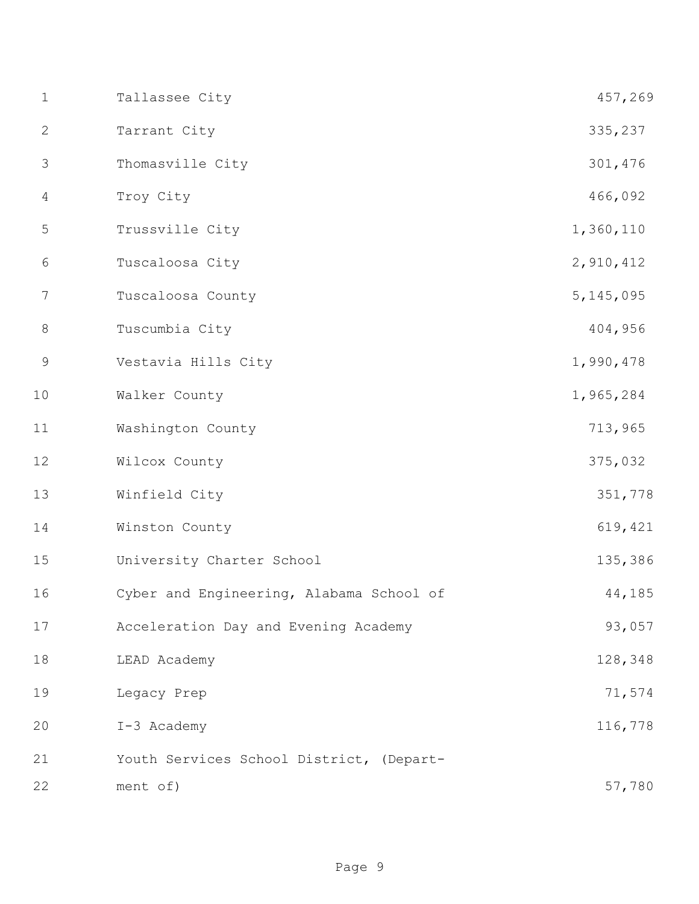| $\mathbf 1$    | Tallassee City                           | 457,269     |
|----------------|------------------------------------------|-------------|
| $\mathbf{2}$   | Tarrant City                             | 335,237     |
| 3              | Thomasville City                         | 301,476     |
| $\overline{4}$ | Troy City                                | 466,092     |
| 5              | Trussville City                          | 1,360,110   |
| 6              | Tuscaloosa City                          | 2,910,412   |
| 7              | Tuscaloosa County                        | 5, 145, 095 |
| $8\,$          | Tuscumbia City                           | 404,956     |
| $\mathsf 9$    | Vestavia Hills City                      | 1,990,478   |
| 10             | Walker County                            | 1,965,284   |
| 11             | Washington County                        | 713,965     |
| 12             | Wilcox County                            | 375,032     |
| 13             | Winfield City                            | 351,778     |
| 14             | Winston County                           | 619,421     |
| 15             | University Charter School                | 135,386     |
| 16             | Cyber and Engineering, Alabama School of | 44,185      |
| 17             | Acceleration Day and Evening Academy     | 93,057      |
| 18             | LEAD Academy                             | 128,348     |
| 19             | Legacy Prep                              | 71,574      |
| 20             | I-3 Academy                              | 116,778     |
| 21             | Youth Services School District, (Depart- |             |
| 22             | ment of)                                 | 57,780      |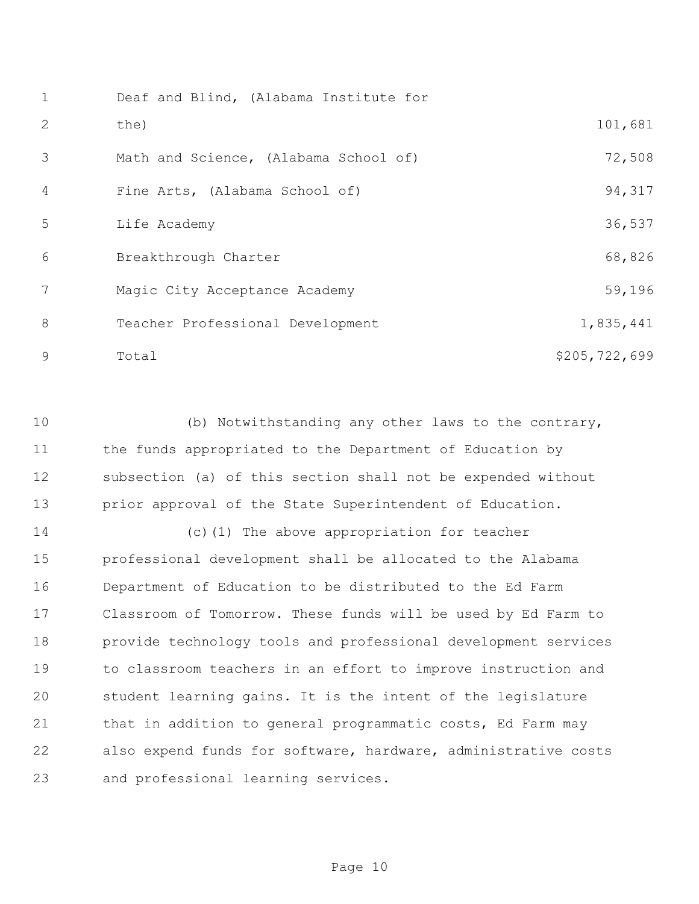| $\mathbf 1$ | Deaf and Blind, (Alabama Institute for |               |
|-------------|----------------------------------------|---------------|
| 2           | the)                                   | 101,681       |
| 3           | Math and Science, (Alabama School of)  | 72,508        |
| 4           | Fine Arts, (Alabama School of)         | 94,317        |
| 5           | Life Academy                           | 36,537        |
| 6           | Breakthrough Charter                   | 68,826        |
| 7           | Magic City Acceptance Academy          | 59,196        |
| 8           | Teacher Professional Development       | 1,835,441     |
| 9           | Total                                  | \$205,722,699 |

 (b) Notwithstanding any other laws to the contrary, 11 the funds appropriated to the Department of Education by subsection (a) of this section shall not be expended without prior approval of the State Superintendent of Education.

 (c)(1) The above appropriation for teacher professional development shall be allocated to the Alabama Department of Education to be distributed to the Ed Farm Classroom of Tomorrow. These funds will be used by Ed Farm to provide technology tools and professional development services to classroom teachers in an effort to improve instruction and student learning gains. It is the intent of the legislature 21 that in addition to general programmatic costs, Ed Farm may also expend funds for software, hardware, administrative costs and professional learning services.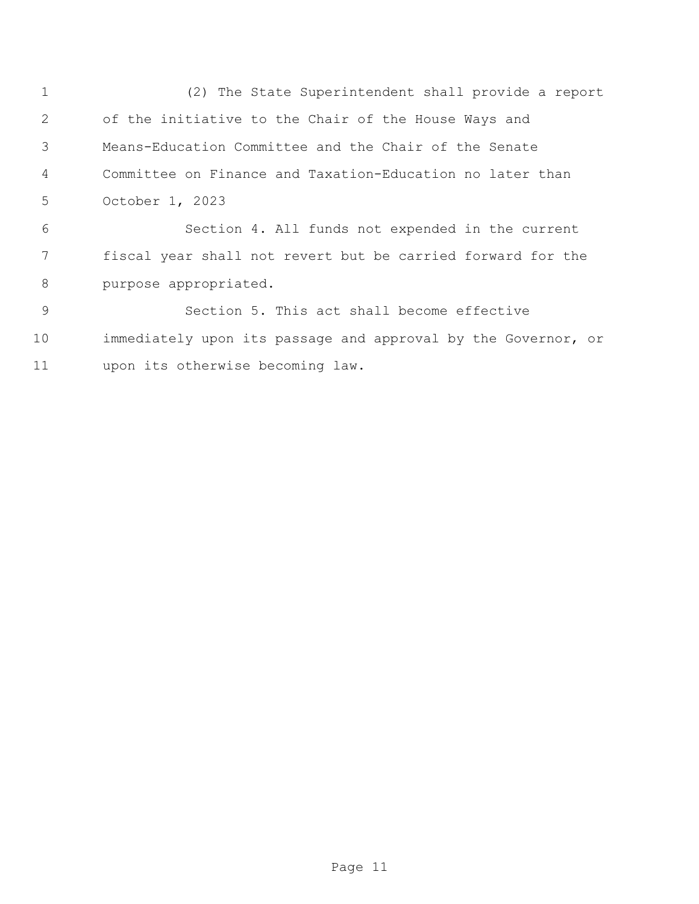(2) The State Superintendent shall provide a report of the initiative to the Chair of the House Ways and Means-Education Committee and the Chair of the Senate Committee on Finance and Taxation-Education no later than October 1, 2023 Section 4. All funds not expended in the current

 fiscal year shall not revert but be carried forward for the purpose appropriated.

 Section 5. This act shall become effective immediately upon its passage and approval by the Governor, or upon its otherwise becoming law.